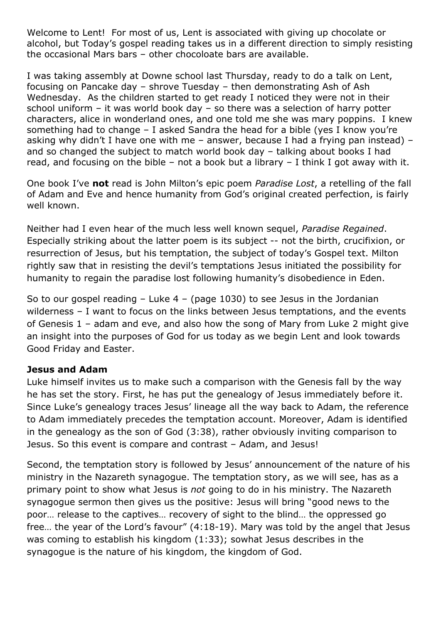Welcome to Lent! For most of us, Lent is associated with giving up chocolate or alcohol, but Today's gospel reading takes us in a different direction to simply resisting the occasional Mars bars – other chocoloate bars are available.

I was taking assembly at Downe school last Thursday, ready to do a talk on Lent, focusing on Pancake day – shrove Tuesday – then demonstrating Ash of Ash Wednesday. As the children started to get ready I noticed they were not in their school uniform – it was world book day – so there was a selection of harry potter characters, alice in wonderland ones, and one told me she was mary poppins. I knew something had to change – I asked Sandra the head for a bible (yes I know you're asking why didn't I have one with me – answer, because I had a frying pan instead) – and so changed the subject to match world book day – talking about books I had read, and focusing on the bible – not a book but a library – I think I got away with it.

One book I've **not** read is John Milton's epic poem *Paradise Lost*, a retelling of the fall of Adam and Eve and hence humanity from God's original created perfection, is fairly well known.

Neither had I even hear of the much less well known sequel, *Paradise Regained*. Especially striking about the latter poem is its subject -- not the birth, crucifixion, or resurrection of Jesus, but his temptation, the subject of today's Gospel text. Milton rightly saw that in resisting the devil's temptations Jesus initiated the possibility for humanity to regain the paradise lost following humanity's disobedience in Eden.

So to our gospel reading  $-$  Luke 4 – (page 1030) to see Jesus in the Jordanian wilderness – I want to focus on the links between Jesus temptations, and the events of Genesis 1 – adam and eve, and also how the song of Mary from Luke 2 might give an insight into the purposes of God for us today as we begin Lent and look towards Good Friday and Easter.

#### **Jesus and Adam**

Luke himself invites us to make such a comparison with the Genesis fall by the way he has set the story. First, he has put the genealogy of Jesus immediately before it. Since Luke's genealogy traces Jesus' lineage all the way back to Adam, the reference to Adam immediately precedes the temptation account. Moreover, Adam is identified in the genealogy as the son of God (3:38), rather obviously inviting comparison to Jesus. So this event is compare and contrast – Adam, and Jesus!

Second, the temptation story is followed by Jesus' announcement of the nature of his ministry in the Nazareth synagogue. The temptation story, as we will see, has as a primary point to show what Jesus is *not* going to do in his ministry. The Nazareth synagogue sermon then gives us the positive: Jesus will bring "good news to the poor… release to the captives… recovery of sight to the blind… the oppressed go free… the year of the Lord's favour" (4:18-19). Mary was told by the angel that Jesus was coming to establish his kingdom (1:33); sowhat Jesus describes in the synagogue is the nature of his kingdom, the kingdom of God.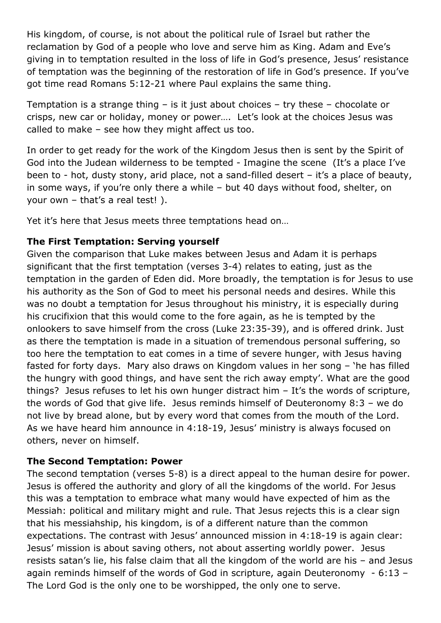His kingdom, of course, is not about the political rule of Israel but rather the reclamation by God of a people who love and serve him as King. Adam and Eve's giving in to temptation resulted in the loss of life in God's presence, Jesus' resistance of temptation was the beginning of the restoration of life in God's presence. If you've got time read Romans 5:12-21 where Paul explains the same thing.

Temptation is a strange thing – is it just about choices – try these – chocolate or crisps, new car or holiday, money or power…. Let's look at the choices Jesus was called to make – see how they might affect us too.

In order to get ready for the work of the Kingdom Jesus then is sent by the Spirit of God into the Judean wilderness to be tempted - Imagine the scene (It's a place I've been to - hot, dusty stony, arid place, not a sand-filled desert - it's a place of beauty, in some ways, if you're only there a while – but 40 days without food, shelter, on your own – that's a real test! ).

Yet it's here that Jesus meets three temptations head on…

### **The First Temptation: Serving yourself**

Given the comparison that Luke makes between Jesus and Adam it is perhaps significant that the first temptation (verses 3-4) relates to eating, just as the temptation in the garden of Eden did. More broadly, the temptation is for Jesus to use his authority as the Son of God to meet his personal needs and desires. While this was no doubt a temptation for Jesus throughout his ministry, it is especially during his crucifixion that this would come to the fore again, as he is tempted by the onlookers to save himself from the cross (Luke 23:35-39), and is offered drink. Just as there the temptation is made in a situation of tremendous personal suffering, so too here the temptation to eat comes in a time of severe hunger, with Jesus having fasted for forty days. Mary also draws on Kingdom values in her song – 'he has filled the hungry with good things, and have sent the rich away empty'. What are the good things? Jesus refuses to let his own hunger distract him – It's the words of scripture, the words of God that give life. Jesus reminds himself of Deuteronomy 8:3 – we do not live by bread alone, but by every word that comes from the mouth of the Lord. As we have heard him announce in 4:18-19, Jesus' ministry is always focused on others, never on himself.

#### **The Second Temptation: Power**

The second temptation (verses 5-8) is a direct appeal to the human desire for power. Jesus is offered the authority and glory of all the kingdoms of the world. For Jesus this was a temptation to embrace what many would have expected of him as the Messiah: political and military might and rule. That Jesus rejects this is a clear sign that his messiahship, his kingdom, is of a different nature than the common expectations. The contrast with Jesus' announced mission in 4:18-19 is again clear: Jesus' mission is about saving others, not about asserting worldly power. Jesus resists satan's lie, his false claim that all the kingdom of the world are his – and Jesus again reminds himself of the words of God in scripture, again Deuteronomy - 6:13 – The Lord God is the only one to be worshipped, the only one to serve.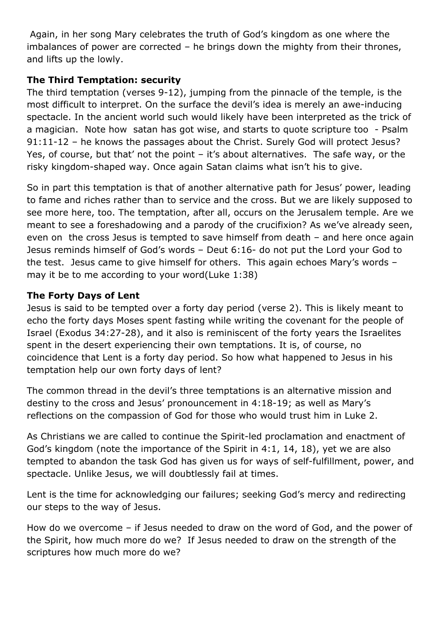Again, in her song Mary celebrates the truth of God's kingdom as one where the imbalances of power are corrected – he brings down the mighty from their thrones, and lifts up the lowly.

## **The Third Temptation: security**

The third temptation (verses 9-12), jumping from the pinnacle of the temple, is the most difficult to interpret. On the surface the devil's idea is merely an awe-inducing spectacle. In the ancient world such would likely have been interpreted as the trick of a magician. Note how satan has got wise, and starts to quote scripture too - Psalm 91:11-12 – he knows the passages about the Christ. Surely God will protect Jesus? Yes, of course, but that' not the point – it's about alternatives. The safe way, or the risky kingdom-shaped way. Once again Satan claims what isn't his to give.

So in part this temptation is that of another alternative path for Jesus' power, leading to fame and riches rather than to service and the cross. But we are likely supposed to see more here, too. The temptation, after all, occurs on the Jerusalem temple. Are we meant to see a foreshadowing and a parody of the crucifixion? As we've already seen, even on the cross Jesus is tempted to save himself from death – and here once again Jesus reminds himself of God's words – Deut 6:16- do not put the Lord your God to the test. Jesus came to give himself for others. This again echoes Mary's words – may it be to me according to your word(Luke 1:38)

# **The Forty Days of Lent**

Jesus is said to be tempted over a forty day period (verse 2). This is likely meant to echo the forty days Moses spent fasting while writing the covenant for the people of Israel (Exodus 34:27-28), and it also is reminiscent of the forty years the Israelites spent in the desert experiencing their own temptations. It is, of course, no coincidence that Lent is a forty day period. So how what happened to Jesus in his temptation help our own forty days of lent?

The common thread in the devil's three temptations is an alternative mission and destiny to the cross and Jesus' pronouncement in 4:18-19; as well as Mary's reflections on the compassion of God for those who would trust him in Luke 2.

As Christians we are called to continue the Spirit-led proclamation and enactment of God's kingdom (note the importance of the Spirit in 4:1, 14, 18), yet we are also tempted to abandon the task God has given us for ways of self-fulfillment, power, and spectacle. Unlike Jesus, we will doubtlessly fail at times.

Lent is the time for acknowledging our failures; seeking God's mercy and redirecting our steps to the way of Jesus.

How do we overcome – if Jesus needed to draw on the word of God, and the power of the Spirit, how much more do we? If Jesus needed to draw on the strength of the scriptures how much more do we?